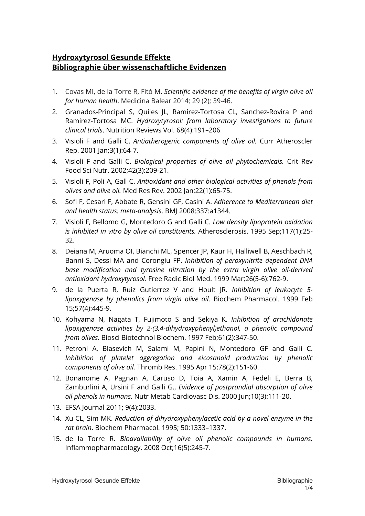## **Hydroxytyrosol Gesunde Effekte Bibliographie über wissenschaftliche Evidenzen**

- 1. Covas MI, de la Torre R, Fitó M. *Scientific evidence of the benefits of virgin olive oil for human health*. Medicina Balear 2014; 29 (2); 39-46.
- 2. Granados-Principal S, Quiles JL, Ramirez-Tortosa CL, Sanchez-Rovira P and Ramirez-Tortosa MC. *Hydroxytyrosol: from laboratory investigations to future clinical trials*. Nutrition Reviews Vol. 68(4):191–206
- 3. Visioli F and Galli C. *Antiatherogenic components of olive oil.* Curr Atheroscler Rep. 2001 Jan;3(1):64-7.
- 4. Visioli F and Galli C. *Biological properties of olive oil phytochemicals.* Crit Rev Food Sci Nutr. 2002;42(3):209-21.
- 5. Visioli F, Poli A, Gall C. *Antioxidant and other biological activities of phenols from olives and olive oil.* Med Res Rev. 2002 Jan;22(1):65-75.
- 6. Sofi F, Cesari F, Abbate R, Gensini GF, Casini A. *Adherence to Mediterranean diet and health status: meta-analysis*. BMJ 2008;337:a1344.
- 7. Visioli F, Bellomo G, Montedoro G and Galli C. *Low density lipoprotein oxidation is inhibited in vitro by olive oil constituents.* Atherosclerosis. 1995 Sep;117(1):25- 32.
- 8. Deiana M, Aruoma OI, Bianchi ML, Spencer JP, Kaur H, Halliwell B, Aeschbach R, Banni S, Dessi MA and Corongiu FP. *Inhibition of peroxynitrite dependent DNA base modification and tyrosine nitration by the extra virgin olive oil-derived antioxidant hydroxytyrosol.* Free Radic Biol Med. 1999 Mar;26(5-6):762-9.
- 9. de la Puerta R, Ruiz Gutierrez V and Hoult JR. *Inhibition of leukocyte 5 lipoxygenase by phenolics from virgin olive oil.* Biochem Pharmacol. 1999 Feb 15;57(4):445-9.
- 10. Kohyama N, Nagata T, Fujimoto S and Sekiya K. *Inhibition of arachidonate lipoxygenase activities by 2-(3,4-dihydroxyphenyl)ethanol, a phenolic compound from olives.* Biosci Biotechnol Biochem. 1997 Feb;61(2):347-50.
- 11. Petroni A, Blasevich M, Salami M, Papini N, Montedoro GF and Galli C. *Inhibition of platelet aggregation and eicosanoid production by phenolic components of olive oil.* Thromb Res. 1995 Apr 15;78(2):151-60.
- 12. Bonanome A, Pagnan A, Caruso D, Toia A, Xamin A, Fedeli E, Berra B, Zamburlini A, Ursini F and Galli G., *Evidence of postprandial absorption of olive oil phenols in humans.* Nutr Metab Cardiovasc Dis. 2000 Jun;10(3):111-20.
- 13. EFSA Journal 2011; 9(4):2033.
- 14. Xu CL, Sim MK. *Reduction of dihydroxyphenylacetic acid by a novel enzyme in the rat brain*. Biochem Pharmacol. 1995; 50:1333–1337.
- 15. de la Torre R. *Bioavailability of olive oil phenolic compounds in humans.*  Inflammopharmacology. 2008 Oct;16(5):245-7.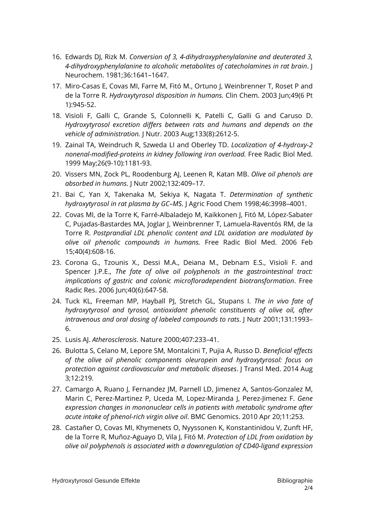- 16. Edwards DJ, Rizk M. *Conversion of 3, 4-dihydroxyphenylalanine and deuterated 3, 4-dihydroxyphenylalanine to alcoholic metabolites of catecholamines in rat brain*. J Neurochem. 1981;36:1641–1647.
- 17. Miro-Casas E, Covas MI, Farre M, Fitó M., Ortuno J, Weinbrenner T, Roset P and de la Torre R. *Hydroxytyrosol disposition in humans.* Clin Chem. 2003 Jun;49(6 Pt 1):945-52.
- 18. Visioli F, Galli C, Grande S, Colonnelli K, Patelli C, Galli G and Caruso D. *Hydroxytyrosol excretion differs between rats and humans and depends on the vehicle of administration.* J Nutr. 2003 Aug;133(8):2612-5.
- 19. Zainal TA, Weindruch R, Szweda LI and Oberley TD. *Localization of 4-hydroxy-2 nonenal-modified-proteins in kidney following iron overload.* Free Radic Biol Med. 1999 May;26(9-10):1181-93.
- 20. Vissers MN, Zock PL, Roodenburg AJ, Leenen R, Katan MB. *Olive oil phenols are absorbed in humans*. J Nutr 2002;132:409–17.
- 21. Bai C, Yan X, Takenaka M, Sekiya K, Nagata T. *Determination of synthetic hydroxytyrosol in rat plasma by GC–MS*. J Agric Food Chem 1998;46:3998–4001.
- 22. Covas MI, de la Torre K, Farré-Albaladejo M, Kaikkonen J, Fitó M, López-Sabater C, Pujadas-Bastardes MA, Joglar J, Weinbrenner T, Lamuela-Raventós RM, de la Torre R. *Postprandial LDL phenolic content and LDL oxidation are modulated by olive oil phenolic compounds in humans.* Free Radic Biol Med. 2006 Feb 15;40(4):608-16.
- 23. Corona G., Tzounis X., Dessi M.A., Deiana M., Debnam E.S., Visioli F. and Spencer J.P.E., *The fate of olive oil polyphenols in the gastrointestinal tract: implications of gastric and colonic microfloradependent biotransformation*. Free Radic Res. 2006 Jun;40(6):647-58.
- 24. Tuck KL, Freeman MP, Hayball PJ, Stretch GL, Stupans I. *The in vivo fate of hydroxytyrosol and tyrosol, antioxidant phenolic constituents of olive oil, after intravenous and oral dosing of labeled compounds to rats*. J Nutr 2001;131:1993– 6.
- 25. Lusis AJ. *Atherosclerosis*. Nature 2000;407:233–41.
- 26. Bulotta S, Celano M, Lepore SM, Montalcini T, Pujia A, Russo D. *Beneficial effects of the olive oil phenolic components oleuropein and hydroxytyrosol: focus on protection against cardiovascular and metabolic diseases*. J Transl Med. 2014 Aug 3;12:219.
- 27. Camargo A, Ruano J, Fernandez JM, Parnell LD, Jimenez A, Santos-Gonzalez M, Marin C, Perez-Martinez P, Uceda M, Lopez-Miranda J, Perez-Jimenez F. *Gene expression changes in mononuclear cells in patients with metabolic syndrome after acute intake of phenol-rich virgin olive oil*. BMC Genomics. 2010 Apr 20;11:253.
- 28. Castañer O, Covas MI, Khymenets O, Nyyssonen K, Konstantinidou V, Zunft HF, de la Torre R, Muñoz-Aguayo D, Vila J, Fitó M. *Protection of LDL from oxidation by olive oil polyphenols is associated with a downregulation of CD40-ligand expression*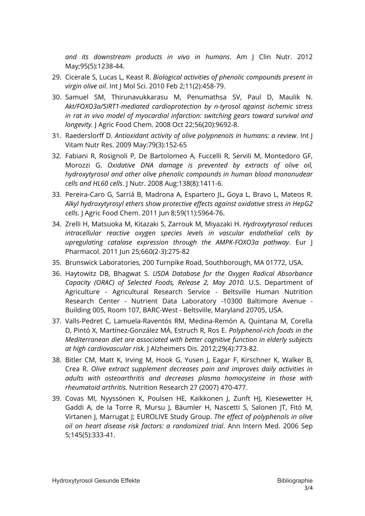*and its downstream products in vivo in humans*. Am J Clin Nutr. 2012 May;95(5):1238-44.

- 29. Cicerale S, Lucas L, Keast R. *Biological activities of phenolic compounds present in virgin olive oil*. Int J Mol Sci. 2010 Feb 2;11(2):458-79.
- 30. Samuel SM, Thirunavukkarasu M, Penumathsa SV, Paul D, Maulik N. *Akt/FOXO3a/SIRT1-mediated cardioprotection by n-tyrosol against ischemic stress in rat in vivo model of myocardial infarction: switching gears toward survival and longevity.* J Agric Food Chem. 2008 Oct 22;56(20):9692-8.
- 31. Raederslorff D. *Antioxidant activity of olive polypnenoIs in humans: a review*. Int J Vitam Nutr Res. 2009 May:79(3):152-65
- 32. Fabiani R, Rosignoli P, De Bartolomeo A, Fuccelli R, Servili M, Montedoro GF, Morozzi G. *Oxidative DNA damage is prevented by extracts of olive oil, hydroxytyrosol and other olive phenolic compounds in human blood mononudear cells and HL60 cells*. J Nutr. 2008 Aug:138(8):1411-6.
- 33. Pereira-Caro G, Sarriá B, Madrona A, Espartero JL, Goya L, Bravo L, Mateos R. *Alkyl hydroxytyrosyl ethers show protective effects against oxidative stress in HepG2 cells.* J Agric Food Chem. 2011 Jun 8;59(11):5964-76.
- 34. Zrelli H, Matsuoka M, Kitazaki S, Zarrouk M, Miyazaki H. *Hydroxytyrosol reduces intracellular reactive oxygen species levels in vascular endothelial cells by upregulating catalase expression through the AMPK-FOXO3a pathway*. Eur J Pharmacol. 2011 Jun 25;660(2-3):275-82
- 35. Brunswick Laboratories, 200 Turnpike Road, Southborough, MA 01772, USA.
- 36. Haytowitz DB, Bhagwat S. *USDA Database for the Oxygen Radical Absorbance Capacity (ORAC) of Selected Foods, Release 2, May 2010.* U.S. Department of Agriculture - Agricultural Research Service - Beltsville Human Nutrition Research Center - Nutrient Data Laboratory -10300 Baltimore Avenue - Building 005, Room 107, BARC-West - Beltsville, Maryland 20705, USA.
- 37. Valls-Pedret C, Lamuela-Raventós RM, Medina-Remón A, Quintana M, Corella D, Pintó X, Martínez-González MÁ, Estruch R, Ros E. *Polyphenol-rich foods in the Mediterranean diet are associated with better cognitive function in elderly subjects at high cardiovascular risk.* J Alzheimers Dis. 2012;29(4):773-82.
- 38. Bitler CM, Matt K, Irving M, Hook G, Yusen J, Eagar F, Kirschner K, Walker B, Crea R. *Olive extract supplement decreases pain and improves daily activities in adults with osteoarthritis and decreases plasma homocysteine in those with rheumatoid arthritis.* Nutrition Research 27 (2007) 470-477.
- 39. Covas MI, Nyyssönen K, Poulsen HE, Kaikkonen J, Zunft HJ, Kiesewetter H, Gaddi A, de la Torre R, Mursu J, Bäumler H, Nascetti S, Salonen JT, Fitó M, Virtanen J, Marrugat J; EUROLIVE Study Group. *The effect of polyphenols in olive oil on heart disease risk factors: a randomized trial*. Ann Intern Med. 2006 Sep 5;145(5):333-41.